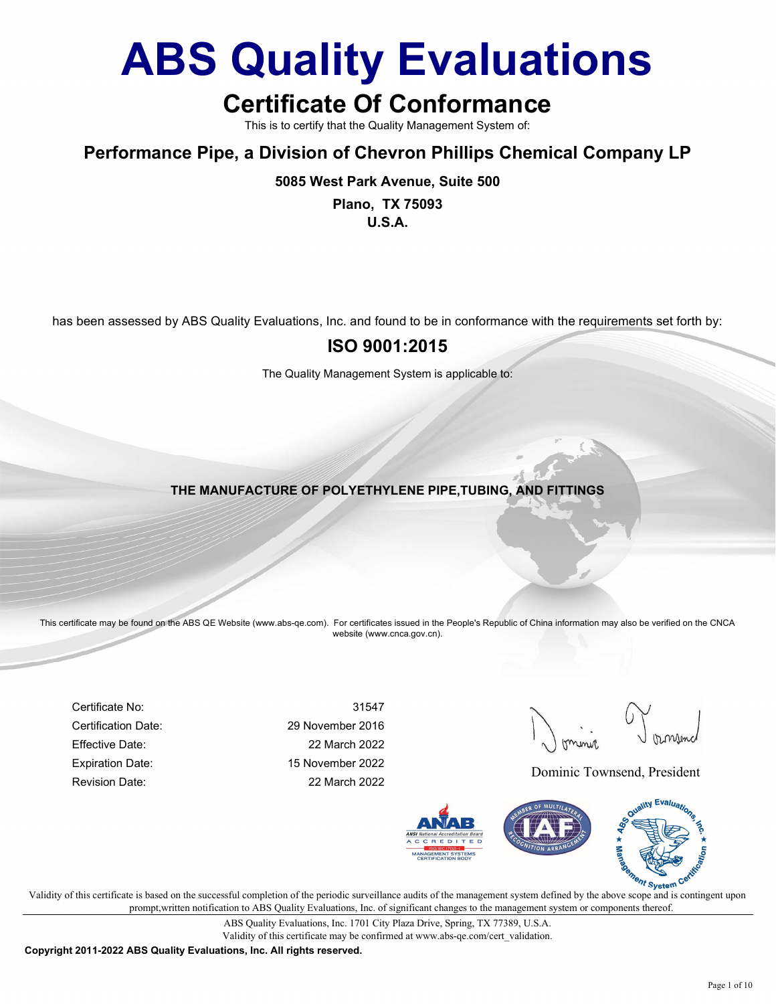## Certificate Of Conformance

This is to certify that the Quality Management System of:

#### Performance Pipe, a Division of Chevron Phillips Chemical Company LP

5085 West Park Avenue, Suite 500

Plano, TX 75093 U.S.A.

has been assessed by ABS Quality Evaluations, Inc. and found to be in conformance with the requirements set forth by:

#### ISO 9001:2015

The Quality Management System is applicable to:

THE MANUFACTURE OF POLYETHYLENE PIPE,TUBING, AND FITTINGS

This certificate may be found on the ABS QE Website (www.abs-qe.com). For certificates issued in the People's Republic of China information may also be verified on the CNCA website (www.cnca.gov.cn).

Certificate No: 31547 Certification Date: 29 November 2016 Effective Date: 22 March 2022 Expiration Date: 15 November 2022 Revision Date: 22 March 2022

Dominic Townsend, President



 $\mathcal{V}$  validity of this certificate is based on the successful completion of the periodic surveillance audits of the management system defined by the above scope and is contingent upon V prompt,written notification to ABS Quality Evaluations, Inc. of significant changes to the management system or components thereof.

> ABS Quality Evaluations, Inc. 1701 City Plaza Drive, Spring, TX 77389, U.S.A. Validity of this certificate may be confirmed at www.abs-qe.com/cert\_validation.

Copyright 2011-2022 ABS Quality Evaluations, Inc. All rights reserved.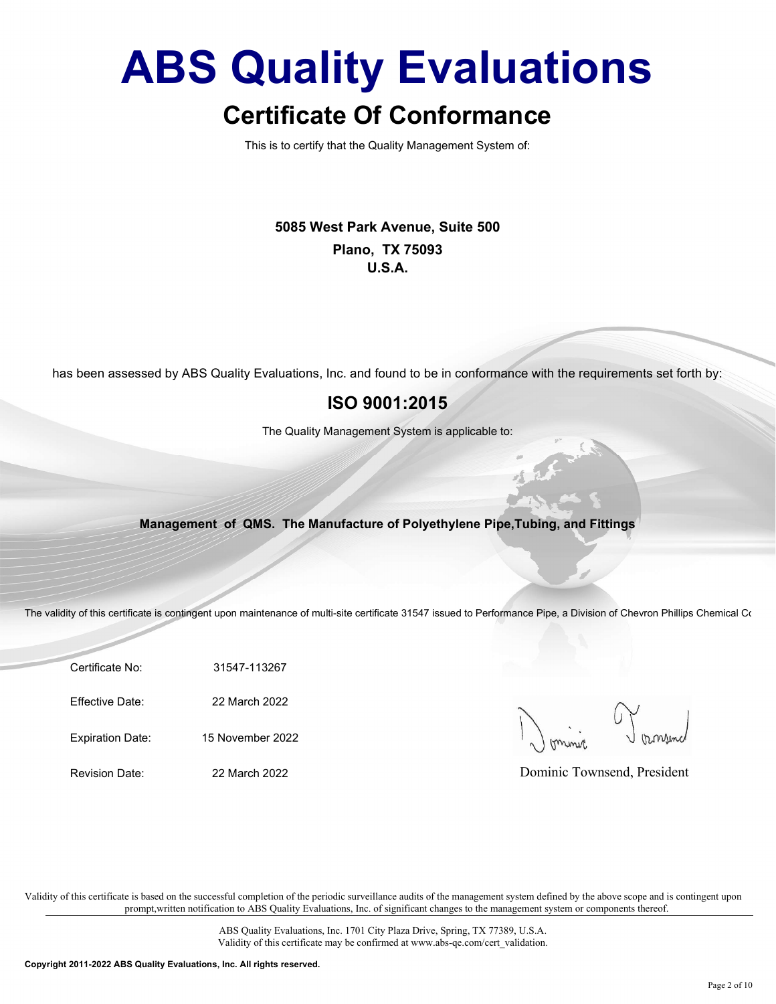This is to certify that the Quality Management System of:

5085 West Park Avenue, Suite 500 Plano, TX 75093 U.S.A.

has been assessed by ABS Quality Evaluations, Inc. and found to be in conformance with the requirements set forth by:

#### ISO 9001:2015

The Quality Management System is applicable to:

#### Management of QMS. The Manufacture of Polyethylene Pipe,Tubing, and Fittings

The validity of this certificate is contingent upon maintenance of multi-site certificate 31547 issued to Performance Pipe, a Division of Chevron Phillips Chemical Co

Certificate No: 31547-113267

Effective Date: 22 March 2022

Expiration Date: 15 November 2022

Revision Date: 22 March 2022

Dominic Townsend, President

Validity of this certificate is based on the successful completion of the periodic surveillance audits of the management system defined by the above scope and is contingent upon prompt,written notification to ABS Quality Evaluations, Inc. of significant changes to the management system or components thereof.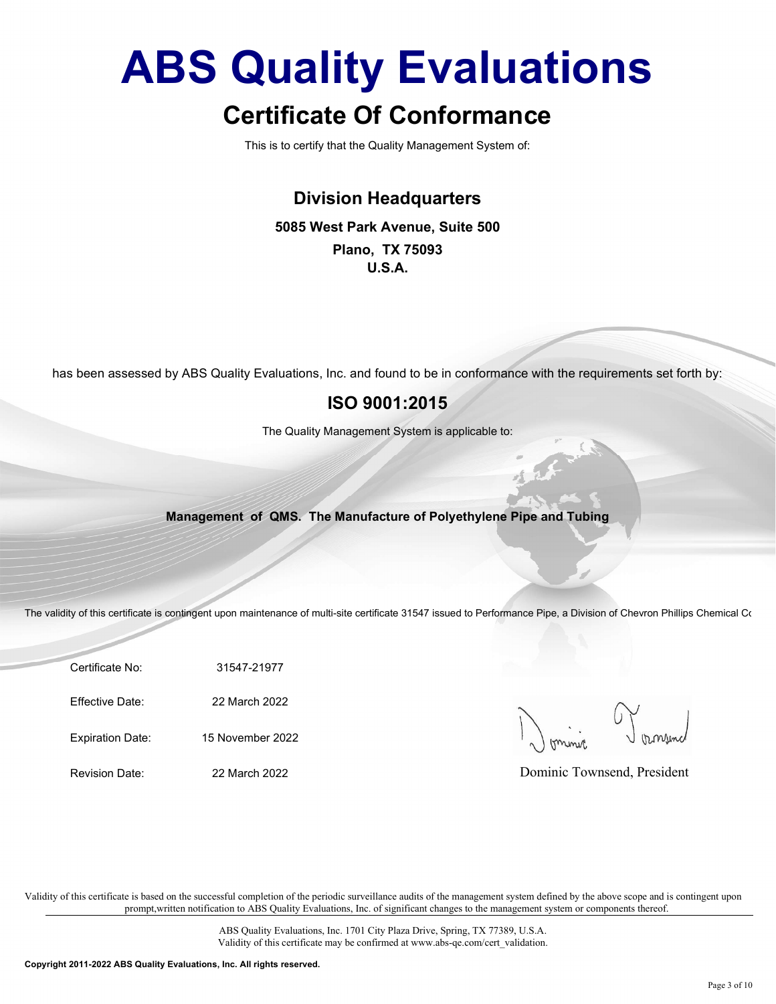### Certificate Of Conformance

This is to certify that the Quality Management System of:

#### Division Headquarters

#### 5085 West Park Avenue, Suite 500

Plano, TX 75093 U.S.A.

has been assessed by ABS Quality Evaluations, Inc. and found to be in conformance with the requirements set forth by:

#### ISO 9001:2015

The Quality Management System is applicable to:

#### Management of QMS. The Manufacture of Polyethylene Pipe and Tubing

The validity of this certificate is contingent upon maintenance of multi-site certificate 31547 issued to Performance Pipe, a Division of Chevron Phillips Chemical Co

Certificate No: 31547-21977

Effective Date: 22 March 2022

Expiration Date: 15 November 2022

Revision Date: 22 March 2022

Dominic Townsend, President

Validity of this certificate is based on the successful completion of the periodic surveillance audits of the management system defined by the above scope and is contingent upon prompt,written notification to ABS Quality Evaluations, Inc. of significant changes to the management system or components thereof.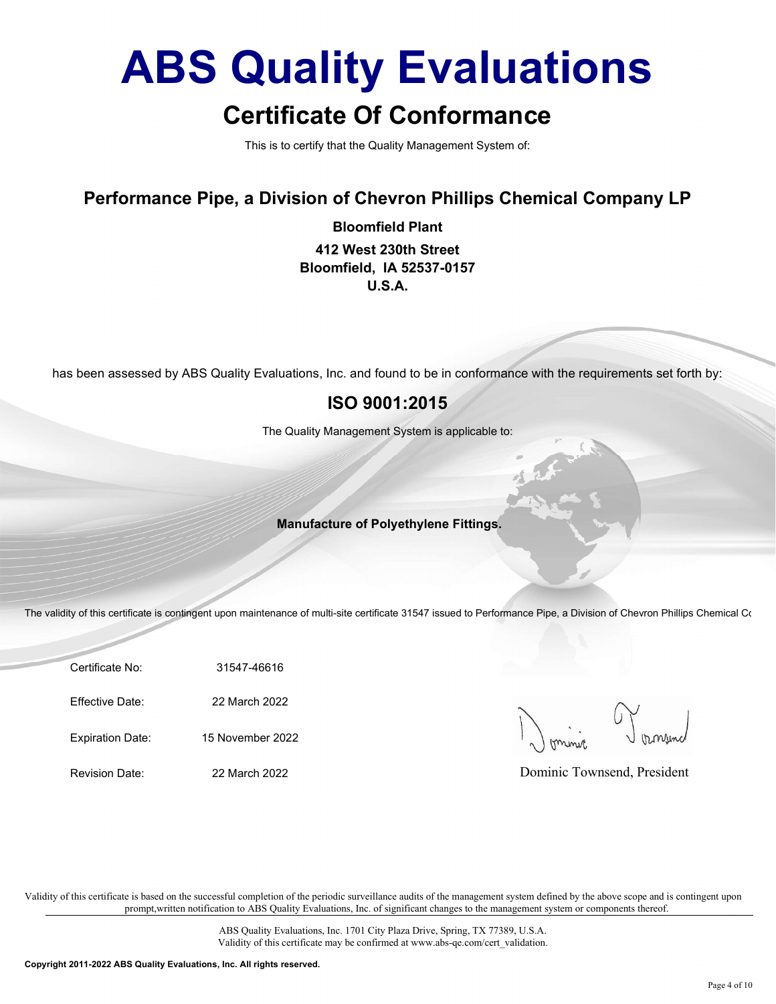### Certificate Of Conformance

This is to certify that the Quality Management System of:

#### Performance Pipe, a Division of Chevron Phillips Chemical Company LP

Bloomfield Plant 412 West 230th Street Bloomfield, IA 52537-0157 U.S.A.

has been assessed by ABS Quality Evaluations, Inc. and found to be in conformance with the requirements set forth by:

#### ISO 9001:2015

The Quality Management System is applicable to:

#### Manufacture of Polyethylene Fittings.

The validity of this certificate is contingent upon maintenance of multi-site certificate 31547 issued to Performance Pipe, a Division of Chevron Phillips Chemical Co

Certificate No: 31547-46616

Effective Date: 22 March 2022

Expiration Date: 15 November 2022

Revision Date: 22 March 2022

Dominic Townsend, President

Validity of this certificate is based on the successful completion of the periodic surveillance audits of the management system defined by the above scope and is contingent upon prompt,written notification to ABS Quality Evaluations, Inc. of significant changes to the management system or components thereof.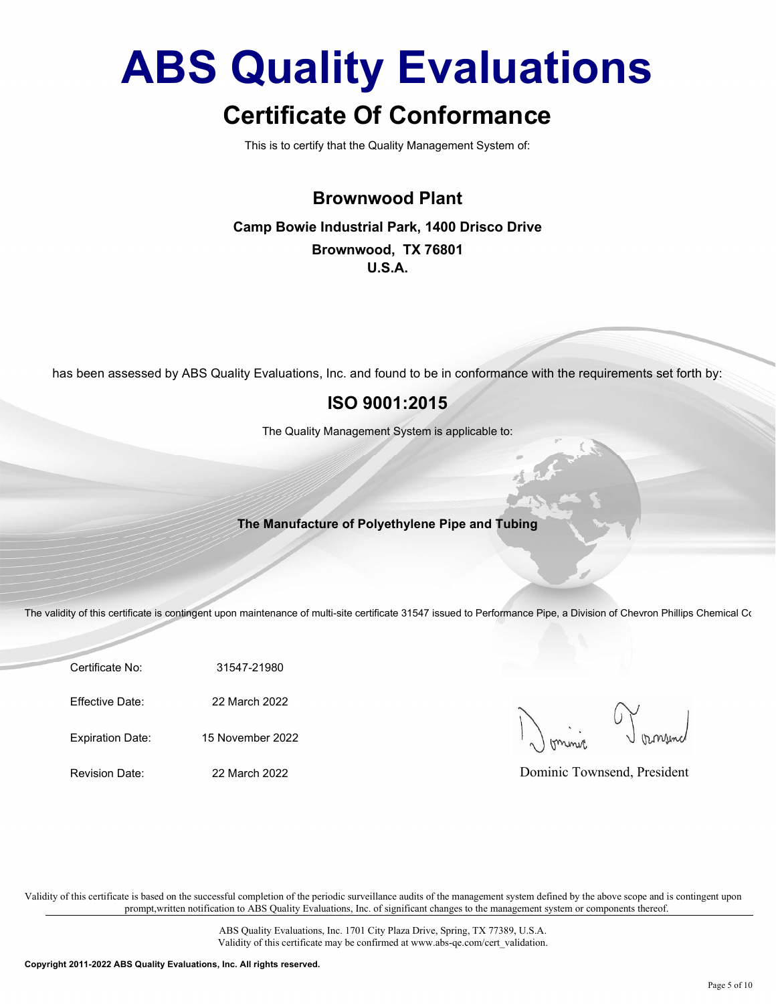### Certificate Of Conformance

This is to certify that the Quality Management System of:

#### Brownwood Plant

#### Camp Bowie Industrial Park, 1400 Drisco Drive Brownwood, TX 76801 U.S.A.

has been assessed by ABS Quality Evaluations, Inc. and found to be in conformance with the requirements set forth by:

#### ISO 9001:2015

The Quality Management System is applicable to:

#### The Manufacture of Polyethylene Pipe and Tubing

The validity of this certificate is contingent upon maintenance of multi-site certificate 31547 issued to Performance Pipe, a Division of Chevron Phillips Chemical Co

Certificate No: 31547-21980

Effective Date: 22 March 2022

Expiration Date: 15 November 2022

Revision Date: 22 March 2022

Dominic Townsend, President

Validity of this certificate is based on the successful completion of the periodic surveillance audits of the management system defined by the above scope and is contingent upon prompt,written notification to ABS Quality Evaluations, Inc. of significant changes to the management system or components thereof.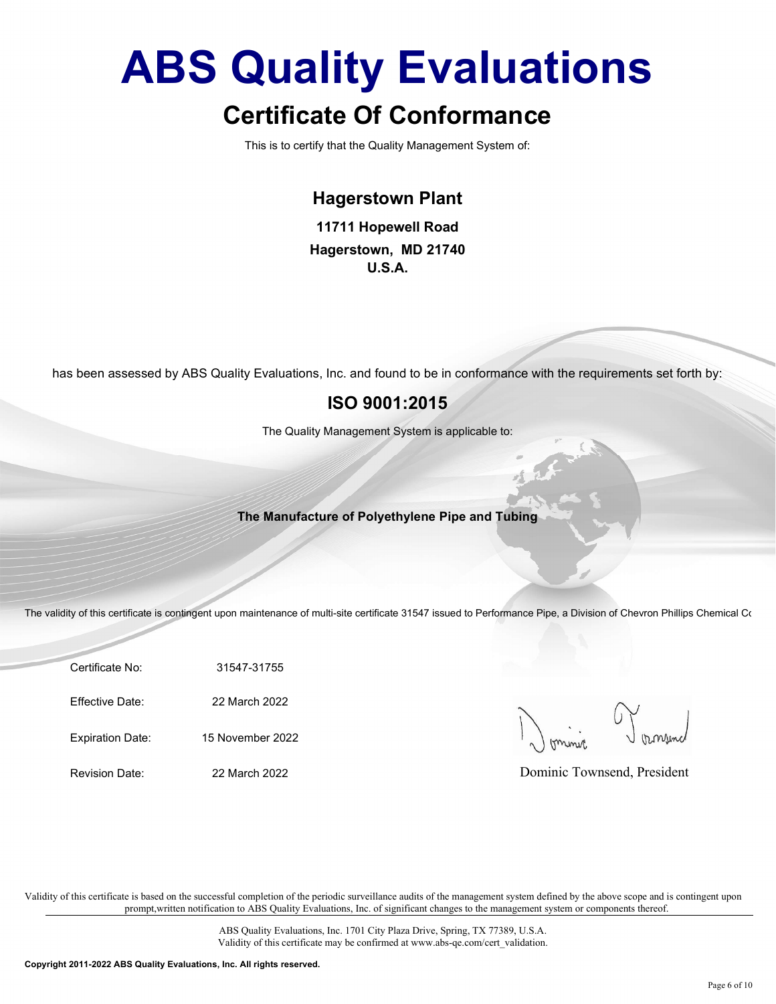This is to certify that the Quality Management System of:

#### Hagerstown Plant

11711 Hopewell Road Hagerstown, MD 21740 U.S.A.

has been assessed by ABS Quality Evaluations, Inc. and found to be in conformance with the requirements set forth by:

#### ISO 9001:2015

The Quality Management System is applicable to:

#### The Manufacture of Polyethylene Pipe and Tubing

The validity of this certificate is contingent upon maintenance of multi-site certificate 31547 issued to Performance Pipe, a Division of Chevron Phillips Chemical Co

Certificate No: 31547-31755

Effective Date: 22 March 2022

Expiration Date: 15 November 2022

Revision Date: 22 March 2022

Dominic Townsend, President

Validity of this certificate is based on the successful completion of the periodic surveillance audits of the management system defined by the above scope and is contingent upon prompt,written notification to ABS Quality Evaluations, Inc. of significant changes to the management system or components thereof.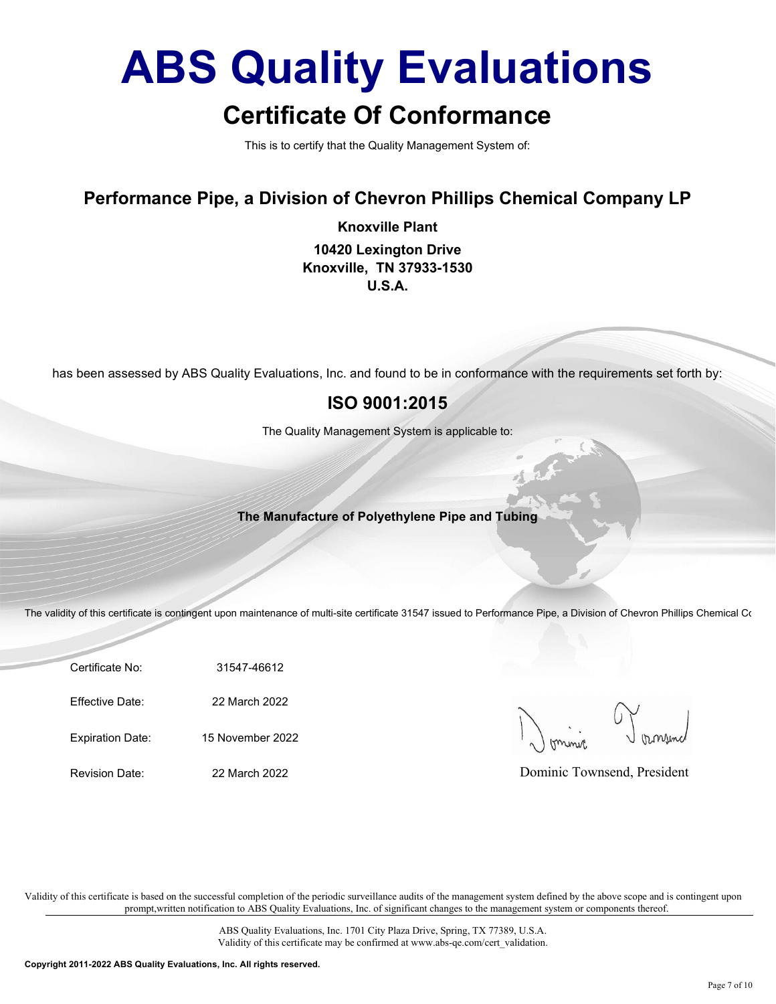This is to certify that the Quality Management System of:

Performance Pipe, a Division of Chevron Phillips Chemical Company LP

Knoxville Plant 10420 Lexington Drive Knoxville, TN 37933-1530 U.S.A.

has been assessed by ABS Quality Evaluations, Inc. and found to be in conformance with the requirements set forth by:

#### ISO 9001:2015

The Quality Management System is applicable to:

The Manufacture of Polyethylene Pipe and Tubing

The validity of this certificate is contingent upon maintenance of multi-site certificate 31547 issued to Performance Pipe, a Division of Chevron Phillips Chemical Co

Certificate No: 31547-46612

Effective Date: 22 March 2022

Expiration Date: 15 November 2022

Revision Date: 22 March 2022

Dominic Townsend, President

Validity of this certificate is based on the successful completion of the periodic surveillance audits of the management system defined by the above scope and is contingent upon prompt,written notification to ABS Quality Evaluations, Inc. of significant changes to the management system or components thereof.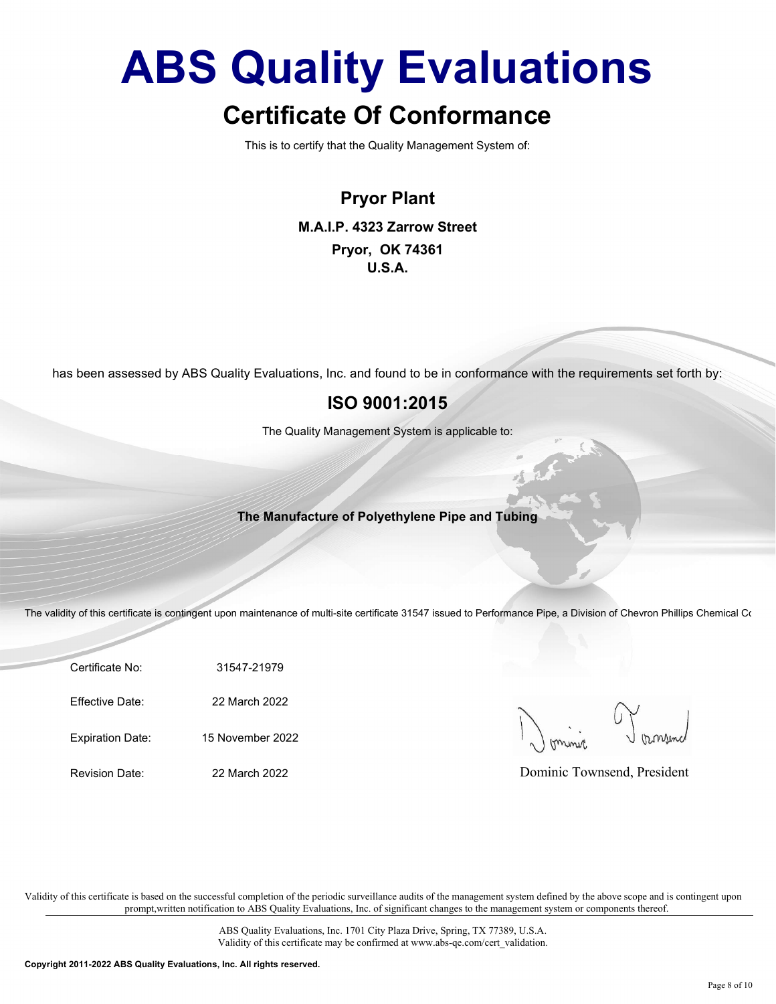### Certificate Of Conformance

This is to certify that the Quality Management System of:

Pryor Plant M.A.I.P. 4323 Zarrow Street Pryor, OK 74361 U.S.A.

has been assessed by ABS Quality Evaluations, Inc. and found to be in conformance with the requirements set forth by:

#### ISO 9001:2015

The Quality Management System is applicable to:

The Manufacture of Polyethylene Pipe and Tubing

The validity of this certificate is contingent upon maintenance of multi-site certificate 31547 issued to Performance Pipe, a Division of Chevron Phillips Chemical Co

Certificate No: 31547-21979

Effective Date: 22 March 2022

Expiration Date: 15 November 2022

Revision Date: 22 March 2022

Dominic Townsend, President

Validity of this certificate is based on the successful completion of the periodic surveillance audits of the management system defined by the above scope and is contingent upon prompt,written notification to ABS Quality Evaluations, Inc. of significant changes to the management system or components thereof.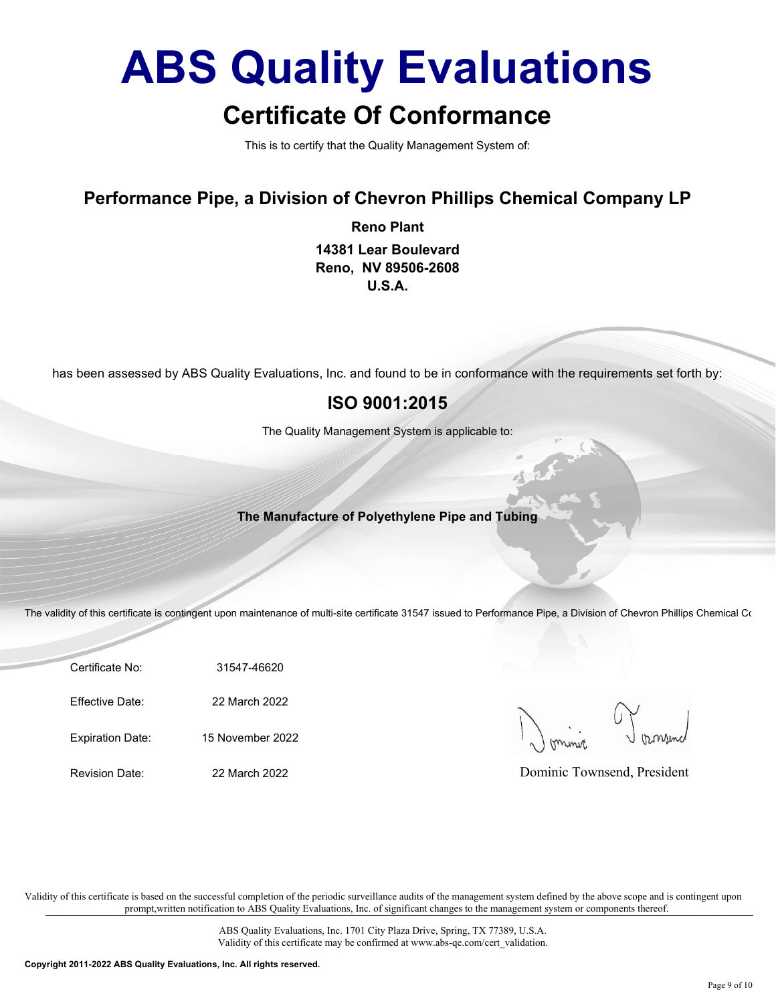### Certificate Of Conformance

This is to certify that the Quality Management System of:

#### Performance Pipe, a Division of Chevron Phillips Chemical Company LP

Reno Plant

14381 Lear Boulevard Reno, NV 89506-2608 U.S.A.

has been assessed by ABS Quality Evaluations, Inc. and found to be in conformance with the requirements set forth by:

#### ISO 9001:2015

The Quality Management System is applicable to:

The Manufacture of Polyethylene Pipe and Tubing

The validity of this certificate is contingent upon maintenance of multi-site certificate 31547 issued to Performance Pipe, a Division of Chevron Phillips Chemical Co

Certificate No: 31547-46620

Effective Date: 22 March 2022

Expiration Date: 15 November 2022

Revision Date: 22 March 2022

Dominic Townsend, President

Validity of this certificate is based on the successful completion of the periodic surveillance audits of the management system defined by the above scope and is contingent upon prompt,written notification to ABS Quality Evaluations, Inc. of significant changes to the management system or components thereof.